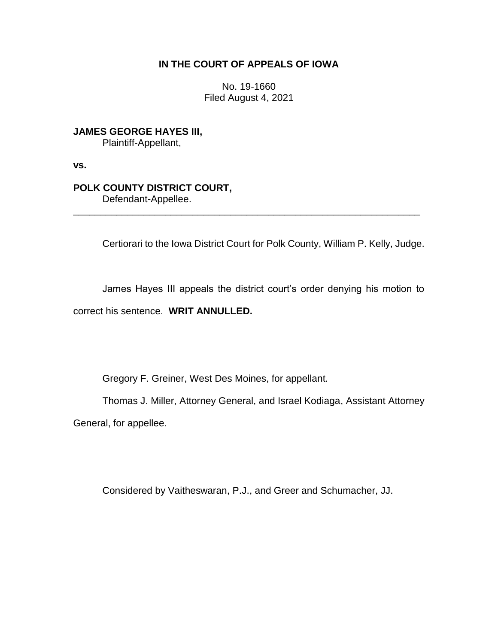## **IN THE COURT OF APPEALS OF IOWA**

No. 19-1660 Filed August 4, 2021

**JAMES GEORGE HAYES III,** Plaintiff-Appellant,

**vs.**

## **POLK COUNTY DISTRICT COURT,**

Defendant-Appellee.

Certiorari to the Iowa District Court for Polk County, William P. Kelly, Judge.

James Hayes III appeals the district court's order denying his motion to correct his sentence. **WRIT ANNULLED.**

\_\_\_\_\_\_\_\_\_\_\_\_\_\_\_\_\_\_\_\_\_\_\_\_\_\_\_\_\_\_\_\_\_\_\_\_\_\_\_\_\_\_\_\_\_\_\_\_\_\_\_\_\_\_\_\_\_\_\_\_\_\_\_\_

Gregory F. Greiner, West Des Moines, for appellant.

Thomas J. Miller, Attorney General, and Israel Kodiaga, Assistant Attorney General, for appellee.

Considered by Vaitheswaran, P.J., and Greer and Schumacher, JJ.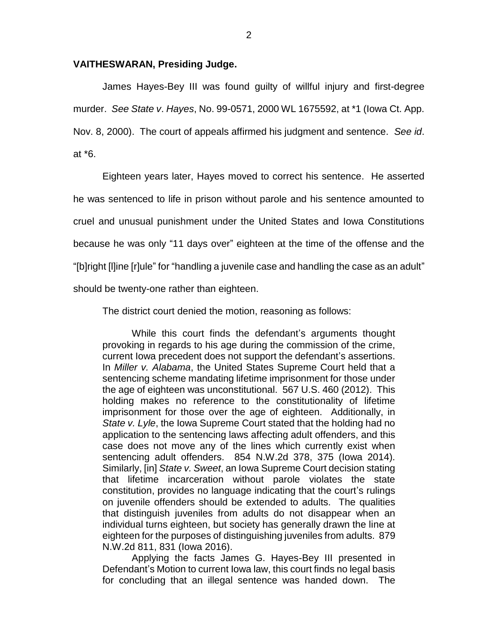## **VAITHESWARAN, Presiding Judge.**

James Hayes-Bey III was found guilty of willful injury and first-degree murder. *See State v*. *Hayes*, No. 99-0571, 2000 WL 1675592, at \*1 (Iowa Ct. App. Nov. 8, 2000). The court of appeals affirmed his judgment and sentence. *See id*. at \*6.

Eighteen years later, Hayes moved to correct his sentence. He asserted he was sentenced to life in prison without parole and his sentence amounted to cruel and unusual punishment under the United States and Iowa Constitutions because he was only "11 days over" eighteen at the time of the offense and the "[b]right [l]ine [r]ule" for "handling a juvenile case and handling the case as an adult" should be twenty-one rather than eighteen.

The district court denied the motion, reasoning as follows:

While this court finds the defendant's arguments thought provoking in regards to his age during the commission of the crime, current Iowa precedent does not support the defendant's assertions. In *Miller v. Alabama*, the United States Supreme Court held that a sentencing scheme mandating lifetime imprisonment for those under the age of eighteen was unconstitutional. 567 U.S. 460 (2012). This holding makes no reference to the constitutionality of lifetime imprisonment for those over the age of eighteen. Additionally, in *State v. Lyle*, the Iowa Supreme Court stated that the holding had no application to the sentencing laws affecting adult offenders, and this case does not move any of the lines which currently exist when sentencing adult offenders. 854 N.W.2d 378, 375 (Iowa 2014). Similarly, [in] *State v. Sweet*, an Iowa Supreme Court decision stating that lifetime incarceration without parole violates the state constitution, provides no language indicating that the court's rulings on juvenile offenders should be extended to adults. The qualities that distinguish juveniles from adults do not disappear when an individual turns eighteen, but society has generally drawn the line at eighteen for the purposes of distinguishing juveniles from adults. 879 N.W.2d 811, 831 (Iowa 2016).

Applying the facts James G. Hayes-Bey III presented in Defendant's Motion to current Iowa law, this court finds no legal basis for concluding that an illegal sentence was handed down. The